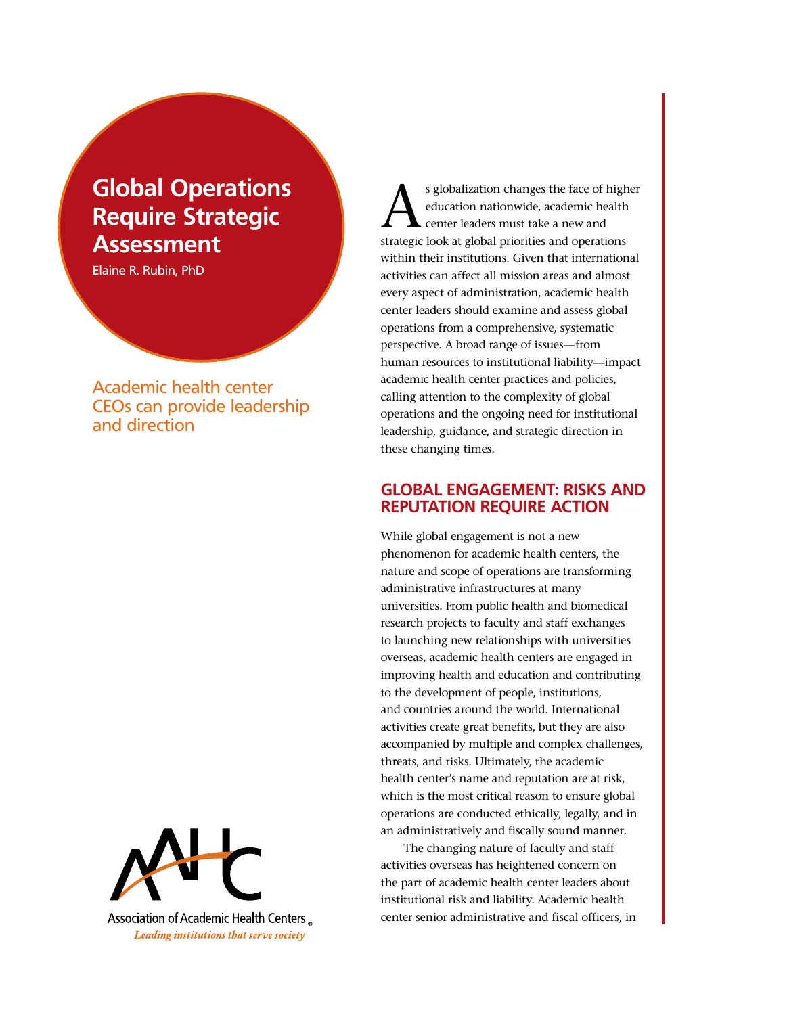# **Global Operations Require Strategic Assessment**

Elaine R. Rubin, PhD

Academic health center CEOs can provide leadership and direction



Association of Academic Health Centers Leading institutions that serve society

s globalization changes the face of higher education nationwide, academic health center leaders must take a new and strategic look at global priorities and operations within their institutions. Given that international activities can affect all mission areas and almost every aspect of administration, academic health center leaders should examine and assess global operations from a comprehensive, systematic perspective. A broad range of issues—from human resources to institutional liability—impact academic health center practices and policies, calling attention to the complexity of global operations and the ongoing need for institutional leadership, guidance, and strategic direction in these changing times.

## **Global Engagement: Risks and Reputation Require Action**

While global engagement is not a new phenomenon for academic health centers, the nature and scope of operations are transforming administrative infrastructures at many universities. From public health and biomedical research projects to faculty and staff exchanges to launching new relationships with universities overseas, academic health centers are engaged in improving health and education and contributing to the development of people, institutions, and countries around the world. International activities create great benefits, but they are also accompanied by multiple and complex challenges, threats, and risks. Ultimately, the academic health center's name and reputation are at risk, which is the most critical reason to ensure global operations are conducted ethically, legally, and in an administratively and fiscally sound manner.

The changing nature of faculty and staff activities overseas has heightened concern on the part of academic health center leaders about institutional risk and liability. Academic health center senior administrative and fiscal officers, in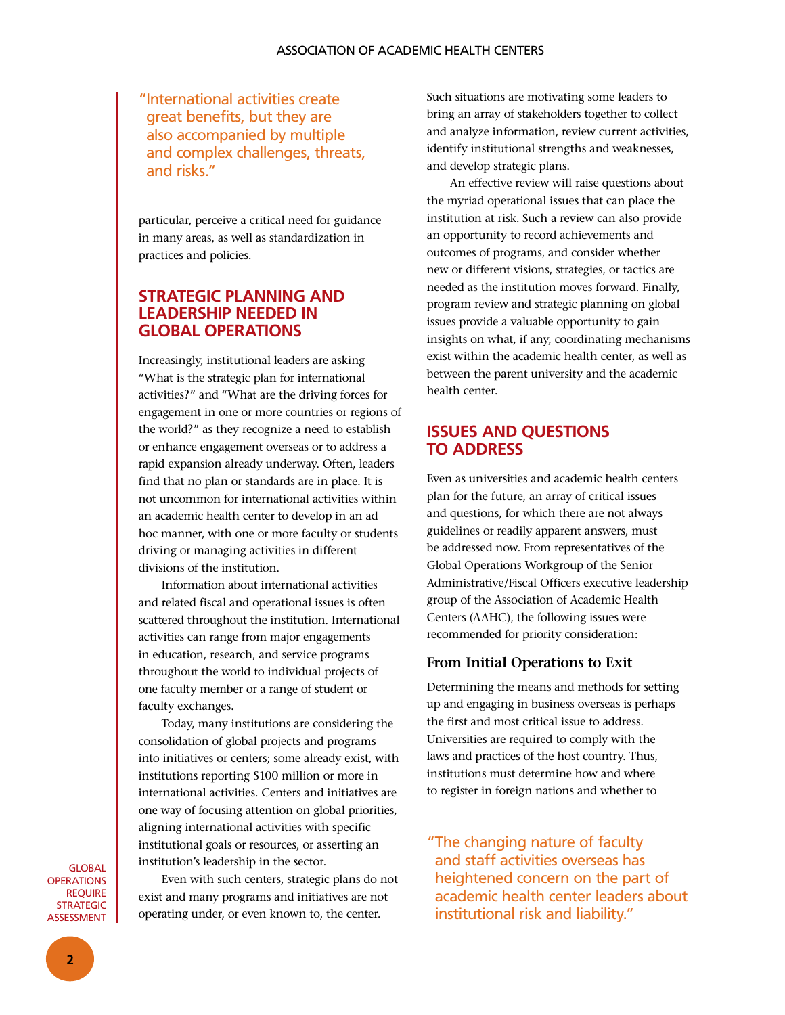" International activities create great benefits, but they are also accompanied by multiple and complex challenges, threats, and risks."

particular, perceive a critical need for guidance in many areas, as well as standardization in practices and policies.

## **Strategic Planning and Leadership NEEDED in Global Operations**

Increasingly, institutional leaders are asking "What is the strategic plan for international activities?" and "What are the driving forces for engagement in one or more countries or regions of the world?" as they recognize a need to establish or enhance engagement overseas or to address a rapid expansion already underway. Often, leaders find that no plan or standards are in place. It is not uncommon for international activities within an academic health center to develop in an ad hoc manner, with one or more faculty or students driving or managing activities in different divisions of the institution.

Information about international activities and related fiscal and operational issues is often scattered throughout the institution. International activities can range from major engagements in education, research, and service programs throughout the world to individual projects of one faculty member or a range of student or faculty exchanges.

Today, many institutions are considering the consolidation of global projects and programs into initiatives or centers; some already exist, with institutions reporting \$100 million or more in international activities. Centers and initiatives are one way of focusing attention on global priorities, aligning international activities with specific institutional goals or resources, or asserting an institution's leadership in the sector.

**GLOBAL OPERATIONS REQUIRE STRATEGIC ASSESSMENT** 

Even with such centers, strategic plans do not exist and many programs and initiatives are not operating under, or even known to, the center.

Such situations are motivating some leaders to bring an array of stakeholders together to collect and analyze information, review current activities, identify institutional strengths and weaknesses, and develop strategic plans.

An effective review will raise questions about the myriad operational issues that can place the institution at risk. Such a review can also provide an opportunity to record achievements and outcomes of programs, and consider whether new or different visions, strategies, or tactics are needed as the institution moves forward. Finally, program review and strategic planning on global issues provide a valuable opportunity to gain insights on what, if any, coordinating mechanisms exist within the academic health center, as well as between the parent university and the academic health center.

## **Issues and Questions to address**

Even as universities and academic health centers plan for the future, an array of critical issues and questions, for which there are not always guidelines or readily apparent answers, must be addressed now. From representatives of the Global Operations Workgroup of the Senior Administrative/Fiscal Officers executive leadership group of the Association of Academic Health Centers (AAHC), the following issues were recommended for priority consideration:

## **From Initial Operations to Exit**

Determining the means and methods for setting up and engaging in business overseas is perhaps the first and most critical issue to address. Universities are required to comply with the laws and practices of the host country. Thus, institutions must determine how and where to register in foreign nations and whether to

" The changing nature of faculty and staff activities overseas has heightened concern on the part of academic health center leaders about institutional risk and liability."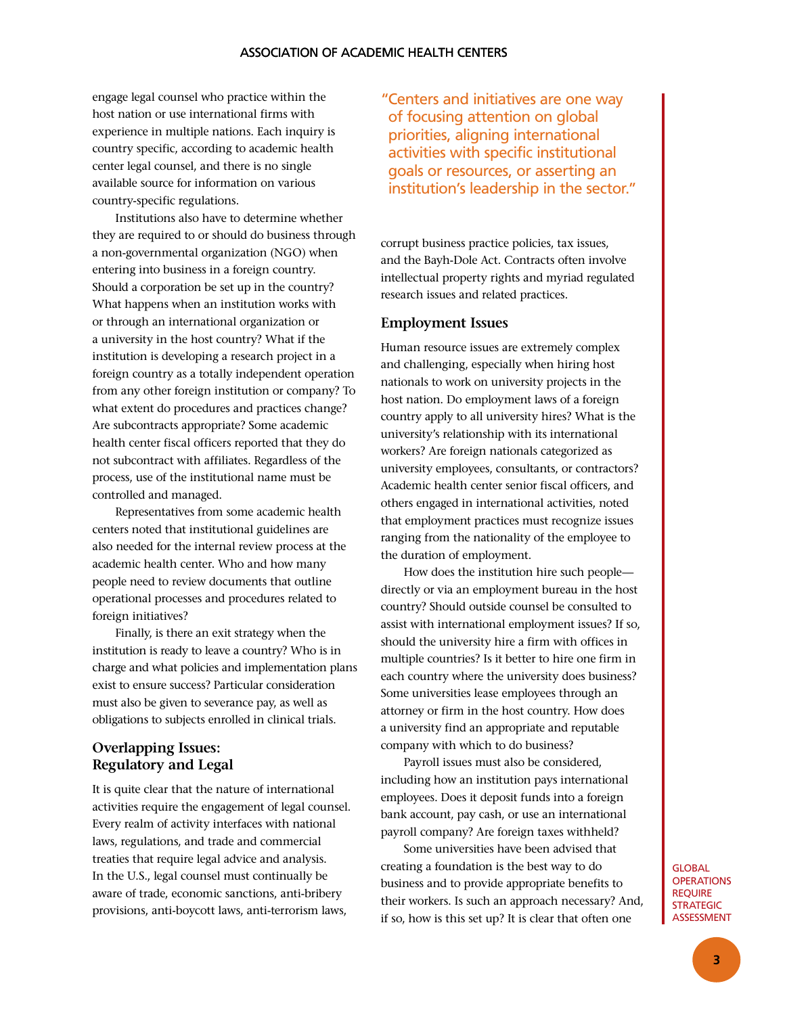engage legal counsel who practice within the host nation or use international firms with experience in multiple nations. Each inquiry is country specific, according to academic health center legal counsel, and there is no single available source for information on various country-specific regulations.

Institutions also have to determine whether they are required to or should do business through a non-governmental organization (NGO) when entering into business in a foreign country. Should a corporation be set up in the country? What happens when an institution works with or through an international organization or a university in the host country? What if the institution is developing a research project in a foreign country as a totally independent operation from any other foreign institution or company? To what extent do procedures and practices change? Are subcontracts appropriate? Some academic health center fiscal officers reported that they do not subcontract with affiliates. Regardless of the process, use of the institutional name must be controlled and managed.

Representatives from some academic health centers noted that institutional guidelines are also needed for the internal review process at the academic health center. Who and how many people need to review documents that outline operational processes and procedures related to foreign initiatives?

Finally, is there an exit strategy when the institution is ready to leave a country? Who is in charge and what policies and implementation plans exist to ensure success? Particular consideration must also be given to severance pay, as well as obligations to subjects enrolled in clinical trials.

## **Overlapping Issues: Regulatory and Legal**

It is quite clear that the nature of international activities require the engagement of legal counsel. Every realm of activity interfaces with national laws, regulations, and trade and commercial treaties that require legal advice and analysis. In the U.S., legal counsel must continually be aware of trade, economic sanctions, anti-bribery provisions, anti-boycott laws, anti-terrorism laws,

"Centers and initiatives are one way of focusing attention on global priorities, aligning international activities with specific institutional goals or resources, or asserting an institution's leadership in the sector."

corrupt business practice policies, tax issues, and the Bayh-Dole Act. Contracts often involve intellectual property rights and myriad regulated research issues and related practices.

### **Employment Issues**

Human resource issues are extremely complex and challenging, especially when hiring host nationals to work on university projects in the host nation. Do employment laws of a foreign country apply to all university hires? What is the university's relationship with its international workers? Are foreign nationals categorized as university employees, consultants, or contractors? Academic health center senior fiscal officers, and others engaged in international activities, noted that employment practices must recognize issues ranging from the nationality of the employee to the duration of employment.

How does the institution hire such people directly or via an employment bureau in the host country? Should outside counsel be consulted to assist with international employment issues? If so, should the university hire a firm with offices in multiple countries? Is it better to hire one firm in each country where the university does business? Some universities lease employees through an attorney or firm in the host country. How does a university find an appropriate and reputable company with which to do business?

Payroll issues must also be considered, including how an institution pays international employees. Does it deposit funds into a foreign bank account, pay cash, or use an international payroll company? Are foreign taxes withheld?

Some universities have been advised that creating a foundation is the best way to do business and to provide appropriate benefits to their workers. Is such an approach necessary? And, if so, how is this set up? It is clear that often one

**GLOBAL OPERATIONS REQUIRE STRATEGIC** Assessment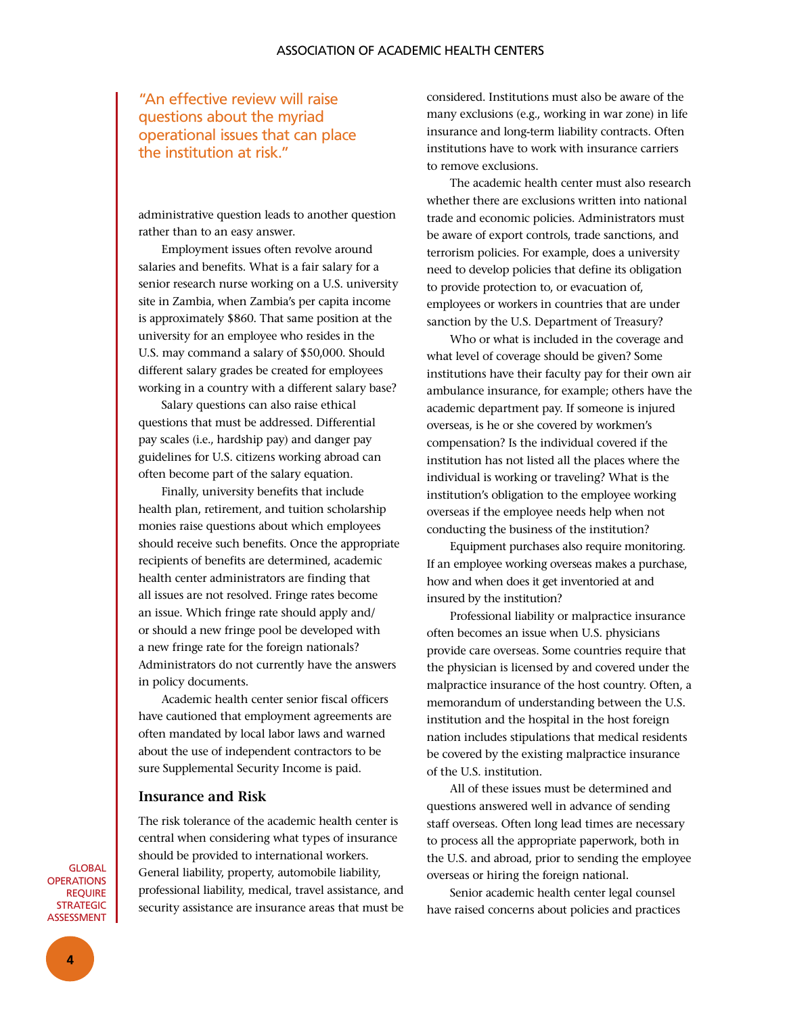## "An effective review will raise questions about the myriad operational issues that can place the institution at risk."

administrative question leads to another question rather than to an easy answer.

Employment issues often revolve around salaries and benefits. What is a fair salary for a senior research nurse working on a U.S. university site in Zambia, when Zambia's per capita income is approximately \$860. That same position at the university for an employee who resides in the U.S. may command a salary of \$50,000. Should different salary grades be created for employees working in a country with a different salary base?

Salary questions can also raise ethical questions that must be addressed. Differential pay scales (i.e., hardship pay) and danger pay guidelines for U.S. citizens working abroad can often become part of the salary equation.

Finally, university benefits that include health plan, retirement, and tuition scholarship monies raise questions about which employees should receive such benefits. Once the appropriate recipients of benefits are determined, academic health center administrators are finding that all issues are not resolved. Fringe rates become an issue. Which fringe rate should apply and/ or should a new fringe pool be developed with a new fringe rate for the foreign nationals? Administrators do not currently have the answers in policy documents.

Academic health center senior fiscal officers have cautioned that employment agreements are often mandated by local labor laws and warned about the use of independent contractors to be sure Supplemental Security Income is paid.

#### **Insurance and Risk**

The risk tolerance of the academic health center is central when considering what types of insurance should be provided to international workers. General liability, property, automobile liability, professional liability, medical, travel assistance, and security assistance are insurance areas that must be considered. Institutions must also be aware of the many exclusions (e.g., working in war zone) in life insurance and long-term liability contracts. Often institutions have to work with insurance carriers to remove exclusions.

The academic health center must also research whether there are exclusions written into national trade and economic policies. Administrators must be aware of export controls, trade sanctions, and terrorism policies. For example, does a university need to develop policies that define its obligation to provide protection to, or evacuation of, employees or workers in countries that are under sanction by the U.S. Department of Treasury?

Who or what is included in the coverage and what level of coverage should be given? Some institutions have their faculty pay for their own air ambulance insurance, for example; others have the academic department pay. If someone is injured overseas, is he or she covered by workmen's compensation? Is the individual covered if the institution has not listed all the places where the individual is working or traveling? What is the institution's obligation to the employee working overseas if the employee needs help when not conducting the business of the institution?

Equipment purchases also require monitoring. If an employee working overseas makes a purchase, how and when does it get inventoried at and insured by the institution?

Professional liability or malpractice insurance often becomes an issue when U.S. physicians provide care overseas. Some countries require that the physician is licensed by and covered under the malpractice insurance of the host country. Often, a memorandum of understanding between the U.S. institution and the hospital in the host foreign nation includes stipulations that medical residents be covered by the existing malpractice insurance of the U.S. institution.

All of these issues must be determined and questions answered well in advance of sending staff overseas. Often long lead times are necessary to process all the appropriate paperwork, both in the U.S. and abroad, prior to sending the employee overseas or hiring the foreign national.

Senior academic health center legal counsel have raised concerns about policies and practices

**GLOBAL OPERATIONS REQUIRE STRATEGIC ASSESSMENT**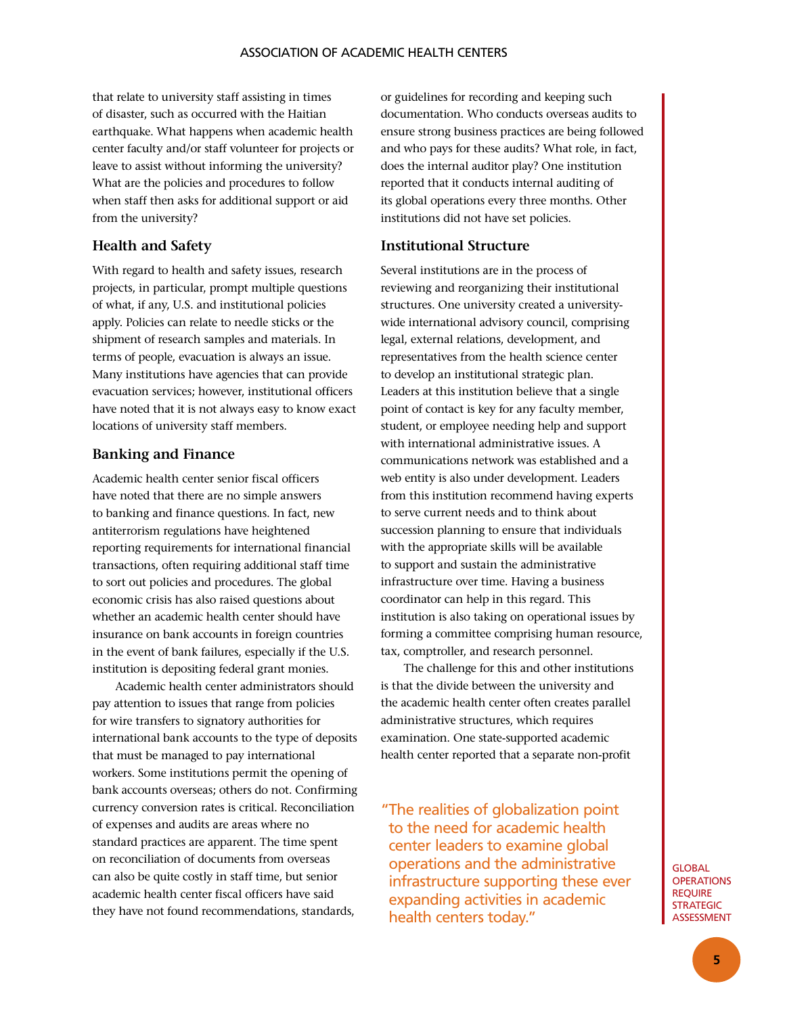that relate to university staff assisting in times of disaster, such as occurred with the Haitian earthquake. What happens when academic health center faculty and/or staff volunteer for projects or leave to assist without informing the university? What are the policies and procedures to follow when staff then asks for additional support or aid from the university?

## **Health and Safety**

With regard to health and safety issues, research projects, in particular, prompt multiple questions of what, if any, U.S. and institutional policies apply. Policies can relate to needle sticks or the shipment of research samples and materials. In terms of people, evacuation is always an issue. Many institutions have agencies that can provide evacuation services; however, institutional officers have noted that it is not always easy to know exact locations of university staff members.

#### **Banking and Finance**

Academic health center senior fiscal officers have noted that there are no simple answers to banking and finance questions. In fact, new antiterrorism regulations have heightened reporting requirements for international financial transactions, often requiring additional staff time to sort out policies and procedures. The global economic crisis has also raised questions about whether an academic health center should have insurance on bank accounts in foreign countries in the event of bank failures, especially if the U.S. institution is depositing federal grant monies.

Academic health center administrators should pay attention to issues that range from policies for wire transfers to signatory authorities for international bank accounts to the type of deposits that must be managed to pay international workers. Some institutions permit the opening of bank accounts overseas; others do not. Confirming currency conversion rates is critical. Reconciliation of expenses and audits are areas where no standard practices are apparent. The time spent on reconciliation of documents from overseas can also be quite costly in staff time, but senior academic health center fiscal officers have said they have not found recommendations, standards,

or guidelines for recording and keeping such documentation. Who conducts overseas audits to ensure strong business practices are being followed and who pays for these audits? What role, in fact, does the internal auditor play? One institution reported that it conducts internal auditing of its global operations every three months. Other institutions did not have set policies.

### **Institutional Structure**

Several institutions are in the process of reviewing and reorganizing their institutional structures. One university created a universitywide international advisory council, comprising legal, external relations, development, and representatives from the health science center to develop an institutional strategic plan. Leaders at this institution believe that a single point of contact is key for any faculty member, student, or employee needing help and support with international administrative issues. A communications network was established and a web entity is also under development. Leaders from this institution recommend having experts to serve current needs and to think about succession planning to ensure that individuals with the appropriate skills will be available to support and sustain the administrative infrastructure over time. Having a business coordinator can help in this regard. This institution is also taking on operational issues by forming a committee comprising human resource, tax, comptroller, and research personnel.

The challenge for this and other institutions is that the divide between the university and the academic health center often creates parallel administrative structures, which requires examination. One state-supported academic health center reported that a separate non-profit

" The realities of globalization point to the need for academic health center leaders to examine global operations and the administrative infrastructure supporting these ever expanding activities in academic health centers today."

**GLOBAL OPERATIONS REQUIRE STRATEGIC** Assessment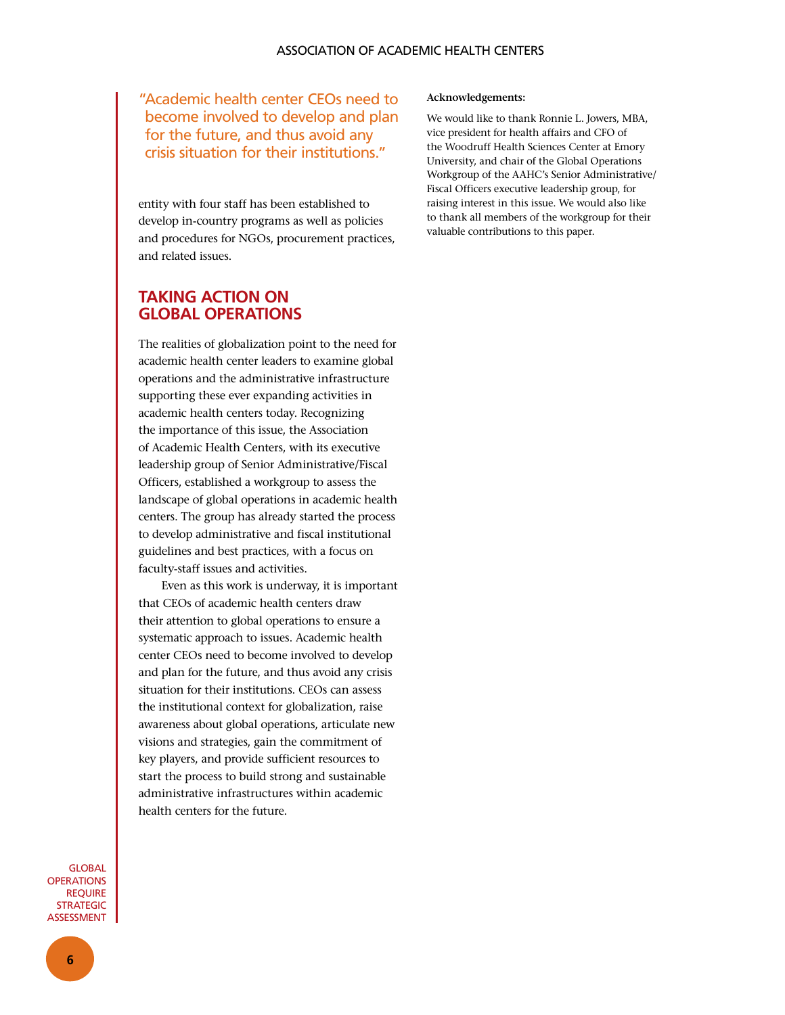"Academic health center CEOs need to become involved to develop and plan for the future, and thus avoid any crisis situation for their institutions."

entity with four staff has been established to develop in-country programs as well as policies and procedures for NGOs, procurement practices, and related issues.

## **Taking Action on Global Operations**

The realities of globalization point to the need for academic health center leaders to examine global operations and the administrative infrastructure supporting these ever expanding activities in academic health centers today. Recognizing the importance of this issue, the Association of Academic Health Centers, with its executive leadership group of Senior Administrative/Fiscal Officers, established a workgroup to assess the landscape of global operations in academic health centers. The group has already started the process to develop administrative and fiscal institutional guidelines and best practices, with a focus on faculty-staff issues and activities.

Even as this work is underway, it is important that CEOs of academic health centers draw their attention to global operations to ensure a systematic approach to issues. Academic health center CEOs need to become involved to develop and plan for the future, and thus avoid any crisis situation for their institutions. CEOs can assess the institutional context for globalization, raise awareness about global operations, articulate new visions and strategies, gain the commitment of key players, and provide sufficient resources to start the process to build strong and sustainable administrative infrastructures within academic health centers for the future.

**GLOBAL OPERATIONS REQUIRE STRATEGIC ASSESSMENT** 

#### **Acknowledgements:**

We would like to thank Ronnie L. Jowers, MBA, vice president for health affairs and CFO of the Woodruff Health Sciences Center at Emory University, and chair of the Global Operations Workgroup of the AAHC's Senior Administrative/ Fiscal Officers executive leadership group, for raising interest in this issue. We would also like to thank all members of the workgroup for their valuable contributions to this paper.